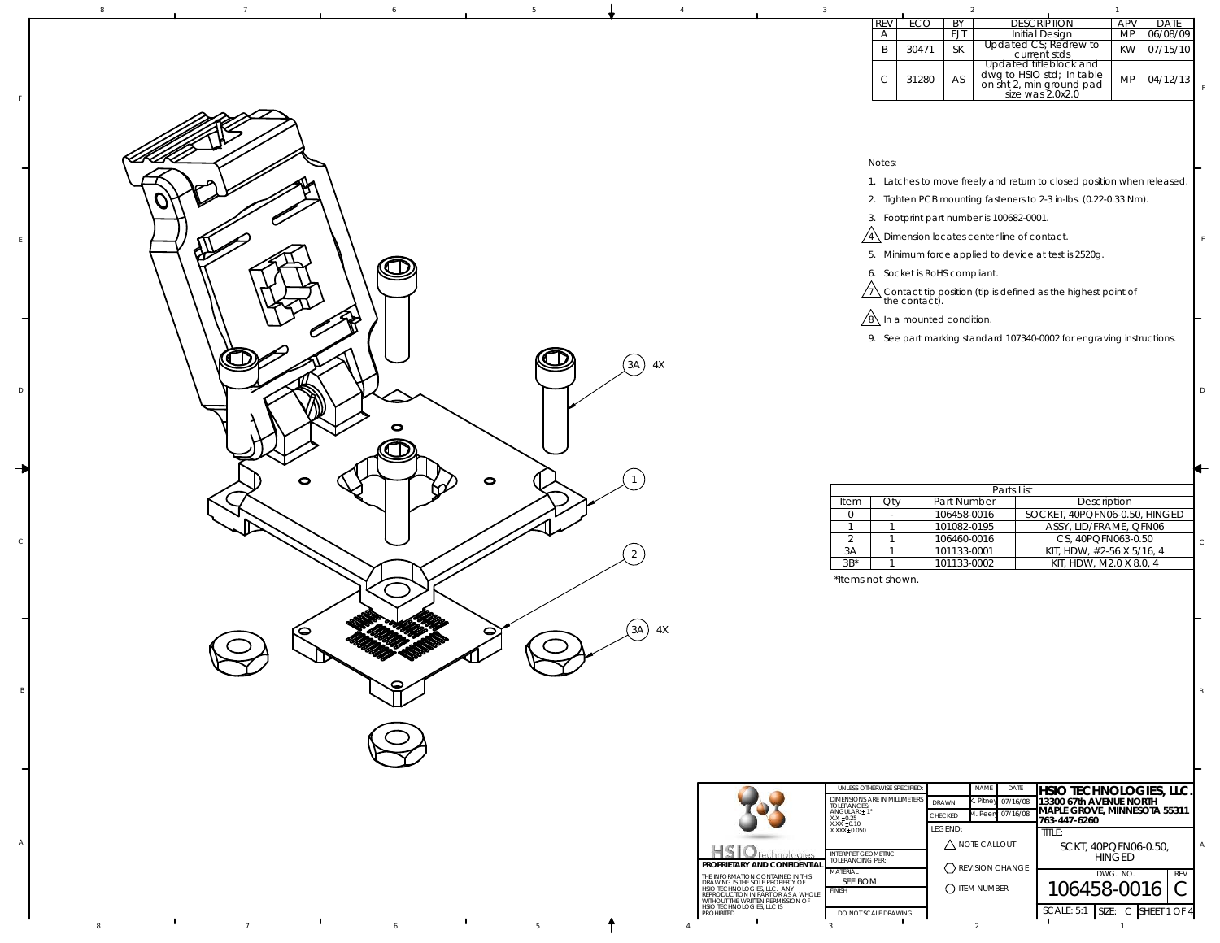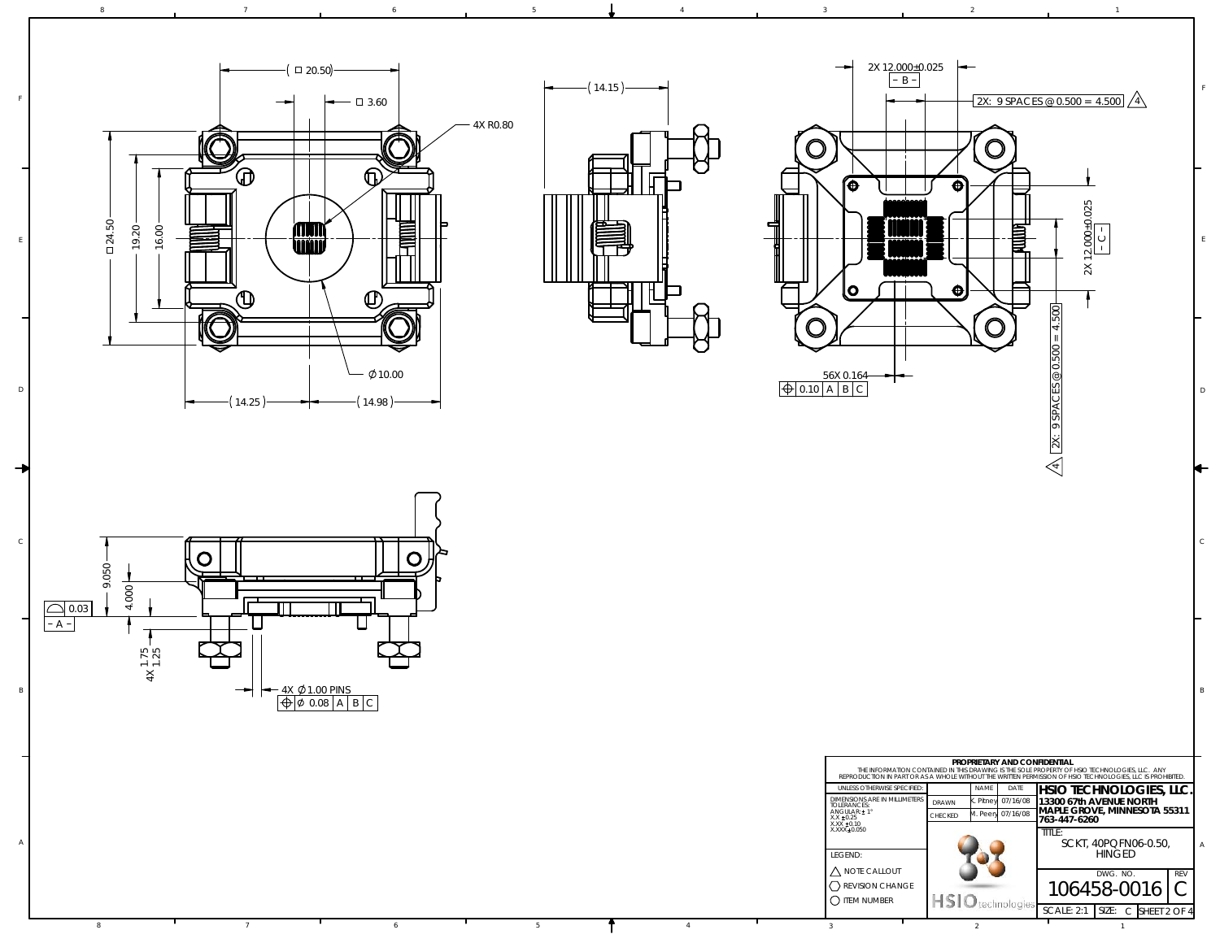

7 6

8

D

A



6 5 5  $\frac{1}{4}$  4 3  $\frac{3}{2}$  2 2

4

 $\,$  5





8 7 7 6 6 5



4

 $\mathsf D$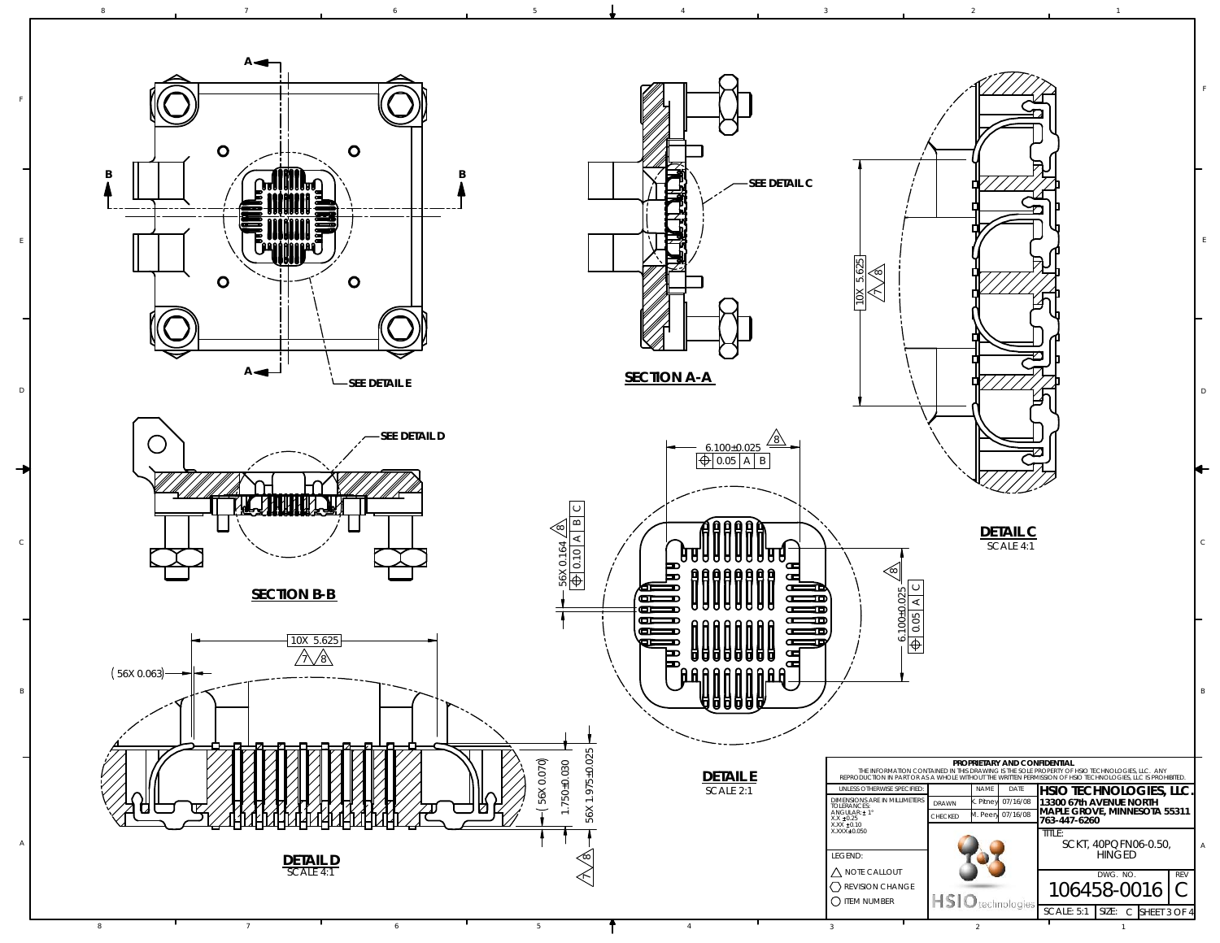